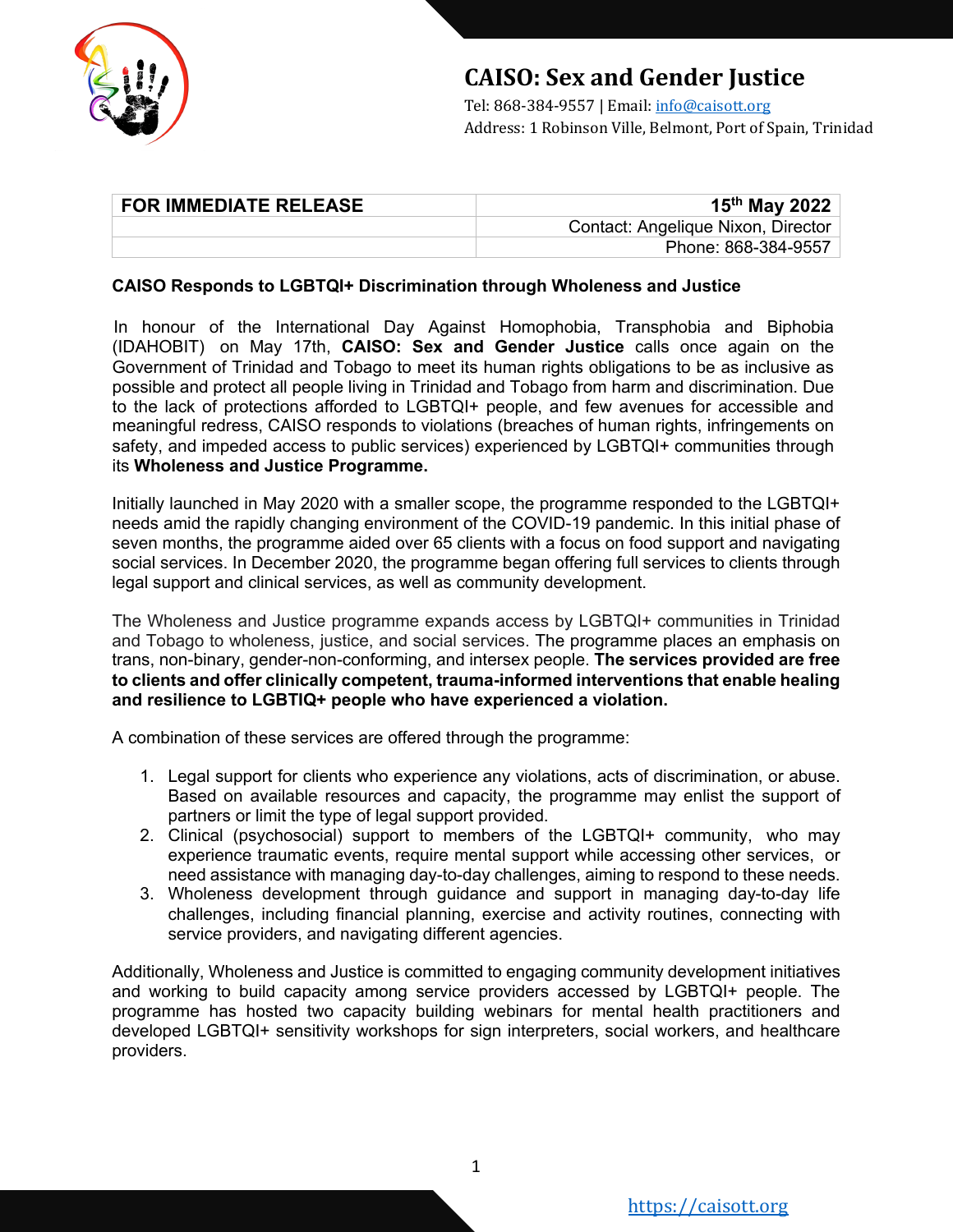

## **CAISO: Sex and Gender Justice**

Tel: 868-384-9557 | Email: info@caisott.org Address: 1 Robinson Ville, Belmont, Port of Spain, Trinidad

| <b>FOR IMMEDIATE RELEASE</b> | 15 <sup>th</sup> May 2022          |
|------------------------------|------------------------------------|
|                              | Contact: Angelique Nixon, Director |
|                              | Phone: 868-384-9557                |

## **CAISO Responds to LGBTQI+ Discrimination through Wholeness and Justice**

In honour of the International Day Against Homophobia, Transphobia and Biphobia (IDAHOBIT) on May 17th, **CAISO: Sex and Gender Justice** calls once again on the Government of Trinidad and Tobago to meet its human rights obligations to be as inclusive as possible and protect all people living in Trinidad and Tobago from harm and discrimination. Due to the lack of protections afforded to LGBTQI+ people, and few avenues for accessible and meaningful redress, CAISO responds to violations (breaches of human rights, infringements on safety, and impeded access to public services) experienced by LGBTQI+ communities through its **Wholeness and Justice Programme.**

Initially launched in May 2020 with a smaller scope, the programme responded to the LGBTQI+ needs amid the rapidly changing environment of the COVID-19 pandemic. In this initial phase of seven months, the programme aided over 65 clients with a focus on food support and navigating social services. In December 2020, the programme began offering full services to clients through legal support and clinical services, as well as community development.

The Wholeness and Justice programme expands access by LGBTQI+ communities in Trinidad and Tobago to wholeness, justice, and social services. The programme places an emphasis on trans, non-binary, gender-non-conforming, and intersex people. **The services provided are free to clients and offer clinically competent, trauma-informed interventions that enable healing and resilience to LGBTIQ+ people who have experienced a violation.**

A combination of these services are offered through the programme:

- 1. Legal support for clients who experience any violations, acts of discrimination, or abuse. Based on available resources and capacity, the programme may enlist the support of partners or limit the type of legal support provided.
- 2. Clinical (psychosocial) support to members of the LGBTQI+ community, who may experience traumatic events, require mental support while accessing other services, or need assistance with managing day-to-day challenges, aiming to respond to these needs.
- 3. Wholeness development through guidance and support in managing day-to-day life challenges, including financial planning, exercise and activity routines, connecting with service providers, and navigating different agencies.

Additionally, Wholeness and Justice is committed to engaging community development initiatives and working to build capacity among service providers accessed by LGBTQI+ people. The programme has hosted two capacity building webinars for mental health practitioners and developed LGBTQI+ sensitivity workshops for sign interpreters, social workers, and healthcare providers.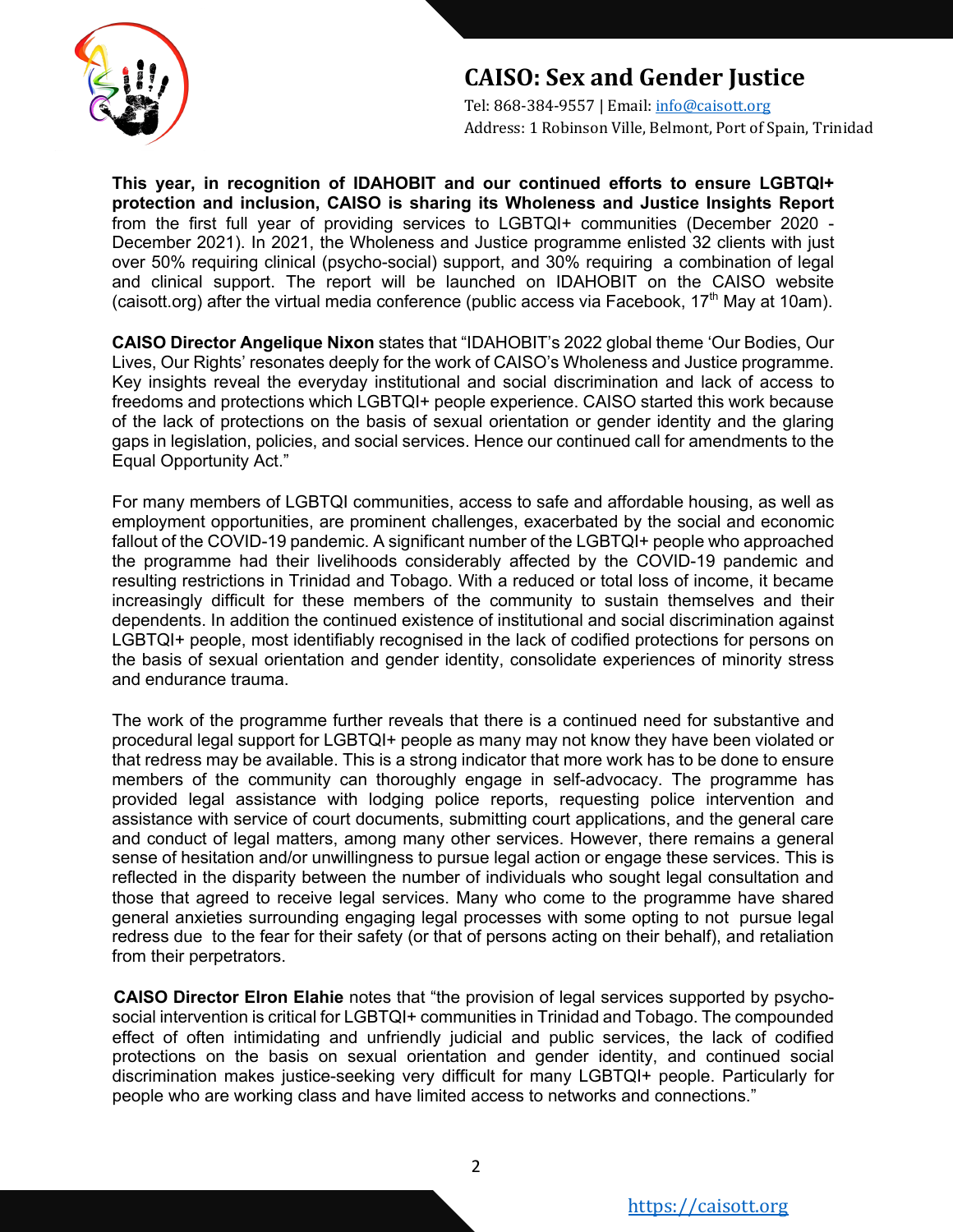

## **CAISO: Sex and Gender Justice**

Tel: 868-384-9557 | Email: info@caisott.org Address: 1 Robinson Ville, Belmont, Port of Spain, Trinidad

**This year, in recognition of IDAHOBIT and our continued efforts to ensure LGBTQI+ protection and inclusion, CAISO is sharing its Wholeness and Justice Insights Report** from the first full year of providing services to LGBTQI+ communities (December 2020 - December 2021). In 2021, the Wholeness and Justice programme enlisted 32 clients with just over 50% requiring clinical (psycho-social) support, and 30% requiring a combination of legal and clinical support. The report will be launched on IDAHOBIT on the CAISO website (caisott.org) after the virtual media conference (public access via Facebook,  $17<sup>th</sup>$  May at 10am).

**CAISO Director Angelique Nixon** states that "IDAHOBIT's 2022 global theme 'Our Bodies, Our Lives, Our Rights' resonates deeply for the work of CAISO's Wholeness and Justice programme. Key insights reveal the everyday institutional and social discrimination and lack of access to freedoms and protections which LGBTQI+ people experience. CAISO started this work because of the lack of protections on the basis of sexual orientation or gender identity and the glaring gaps in legislation, policies, and social services. Hence our continued call for amendments to the Equal Opportunity Act."

For many members of LGBTQI communities, access to safe and affordable housing, as well as employment opportunities, are prominent challenges, exacerbated by the social and economic fallout of the COVID-19 pandemic. A significant number of the LGBTQI+ people who approached the programme had their livelihoods considerably affected by the COVID-19 pandemic and resulting restrictions in Trinidad and Tobago. With a reduced or total loss of income, it became increasingly difficult for these members of the community to sustain themselves and their dependents. In addition the continued existence of institutional and social discrimination against LGBTQI+ people, most identifiably recognised in the lack of codified protections for persons on the basis of sexual orientation and gender identity, consolidate experiences of minority stress and endurance trauma.

The work of the programme further reveals that there is a continued need for substantive and procedural legal support for LGBTQI+ people as many may not know they have been violated or that redress may be available. This is a strong indicator that more work has to be done to ensure members of the community can thoroughly engage in self-advocacy. The programme has provided legal assistance with lodging police reports, requesting police intervention and assistance with service of court documents, submitting court applications, and the general care and conduct of legal matters, among many other services. However, there remains a general sense of hesitation and/or unwillingness to pursue legal action or engage these services. This is reflected in the disparity between the number of individuals who sought legal consultation and those that agreed to receive legal services. Many who come to the programme have shared general anxieties surrounding engaging legal processes with some opting to not pursue legal redress due to the fear for their safety (or that of persons acting on their behalf), and retaliation from their perpetrators.

**CAISO Director Elron Elahie** notes that "the provision of legal services supported by psychosocial intervention is critical for LGBTQI+ communities in Trinidad and Tobago. The compounded effect of often intimidating and unfriendly judicial and public services, the lack of codified protections on the basis on sexual orientation and gender identity, and continued social discrimination makes justice-seeking very difficult for many LGBTQI+ people. Particularly for people who are working class and have limited access to networks and connections."

https://caisott.org